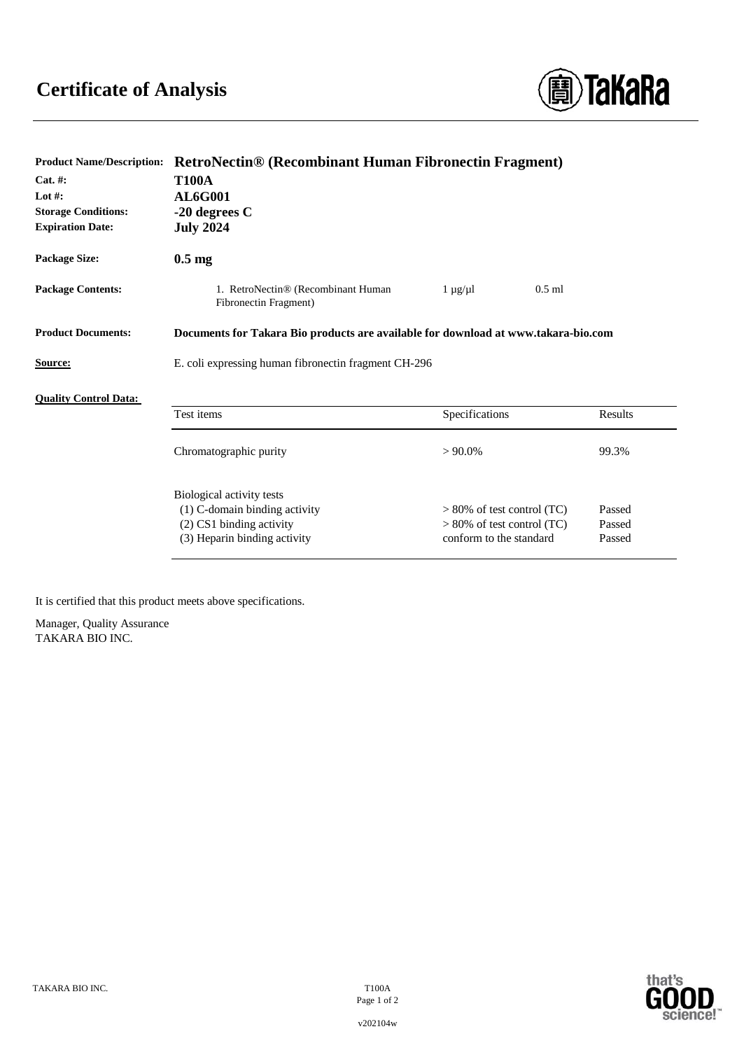

| Product Name/Description:    | RetroNectin® (Recombinant Human Fibronectin Fragment)                              |                               |         |
|------------------------------|------------------------------------------------------------------------------------|-------------------------------|---------|
| $Cat. \#:$                   | <b>T100A</b>                                                                       |                               |         |
| Lot $#$ :                    | <b>AL6G001</b>                                                                     |                               |         |
| <b>Storage Conditions:</b>   | $-20$ degrees C                                                                    |                               |         |
| <b>Expiration Date:</b>      | <b>July 2024</b>                                                                   |                               |         |
| Package Size:                | $0.5 \text{ mg}$                                                                   |                               |         |
| <b>Package Contents:</b>     | 1. RetroNectin® (Recombinant Human<br>Fibronectin Fragment)                        | $1 \mu g / \mu l$<br>$0.5$ ml |         |
| <b>Product Documents:</b>    | Documents for Takara Bio products are available for download at www.takara-bio.com |                               |         |
| <b>Source:</b>               | E. coli expressing human fibronectin fragment CH-296                               |                               |         |
| <b>Ouality Control Data:</b> |                                                                                    |                               |         |
|                              | Test items                                                                         | Specifications                | Results |
|                              | Chromatographic purity                                                             | $> 90.0\%$                    | 99.3%   |
|                              | Biological activity tests                                                          |                               |         |
|                              | (1) C-domain binding activity                                                      | $> 80\%$ of test control (TC) | Passed  |
|                              | (2) CS1 binding activity                                                           | $> 80\%$ of test control (TC) | Passed  |
|                              | (3) Heparin binding activity                                                       | conform to the standard       | Passed  |
|                              |                                                                                    |                               |         |

**Product Name/Description: RetroNectin® (Recombinant Human Fibronectin Fragment)**

It is certified that this product meets above specifications.

Manager, Quality Assurance TAKARA BIO INC.